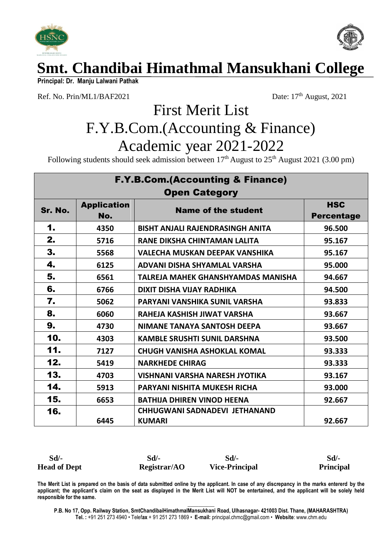



**Principal: Dr. Manju Lalwani Pathak** 

Ref. No. Prin/ML1/BAF2021 Date:  $17<sup>th</sup>$  August, 2021

# First Merit List F.Y.B.Com.(Accounting & Finance) Academic year 2021-2022

Following students should seek admission between  $17<sup>th</sup>$  August to  $25<sup>th</sup>$  August  $2021$  (3.00 pm)

| <b>F.Y.B.Com.(Accounting &amp; Finance)</b> |                           |                                                |                                 |  |
|---------------------------------------------|---------------------------|------------------------------------------------|---------------------------------|--|
| <b>Open Category</b>                        |                           |                                                |                                 |  |
| Sr. No.                                     | <b>Application</b><br>No. | <b>Name of the student</b>                     | <b>HSC</b><br><b>Percentage</b> |  |
| 1.                                          | 4350                      | BISHT ANJALI RAJENDRASINGH ANITA               | 96.500                          |  |
| 2.                                          | 5716                      | RANE DIKSHA CHINTAMAN LALITA                   | 95.167                          |  |
| 3.                                          | 5568                      | <b>VALECHA MUSKAN DEEPAK VANSHIKA</b>          | 95.167                          |  |
| 4.                                          | 6125                      | <b>ADVANI DISHA SHYAMLAL VARSHA</b>            | 95.000                          |  |
| 5.                                          | 6561                      | <b>TALREJA MAHEK GHANSHYAMDAS MANISHA</b>      | 94.667                          |  |
| 6.                                          | 6766                      | <b>DIXIT DISHA VIJAY RADHIKA</b>               | 94.500                          |  |
| 7.                                          | 5062                      | PARYANI VANSHIKA SUNIL VARSHA                  | 93.833                          |  |
| 8.                                          | 6060                      | RAHEJA KASHISH JIWAT VARSHA                    | 93.667                          |  |
| 9.                                          | 4730                      | <b>NIMANE TANAYA SANTOSH DEEPA</b>             | 93.667                          |  |
| 10.                                         | 4303                      | <b>KAMBLE SRUSHTI SUNIL DARSHNA</b>            | 93.500                          |  |
| 11.                                         | 7127                      | <b>CHUGH VANISHA ASHOKLAL KOMAL</b>            | 93.333                          |  |
| 12.                                         | 5419                      | <b>NARKHEDE CHIRAG</b>                         | 93.333                          |  |
| 13.                                         | 4703                      | <b>VISHNANI VARSHA NARESH JYOTIKA</b>          | 93.167                          |  |
| 14.                                         | 5913                      | <b>PARYANI NISHITA MUKESH RICHA</b>            | 93.000                          |  |
| 15.                                         | 6653                      | <b>BATHIJA DHIREN VINOD HEENA</b>              | 92.667                          |  |
| 16.                                         | 6445                      | CHHUGWANI SADNADEVI JETHANAND<br><b>KUMARI</b> | 92.667                          |  |

| $Sd$ -              | Sd/-         | Sd/-                  | Sd               |
|---------------------|--------------|-----------------------|------------------|
| <b>Head of Dept</b> | Registrar/AO | <b>Vice-Principal</b> | <b>Principal</b> |

**The Merit List is prepared on the basis of data submitted online by the applicant. In case of any discrepancy in the marks entererd by the applicant; the applicant's claim on the seat as displayed in the Merit List will NOT be entertained, and the applicant will be solely held responsible for the same.**

**\_\_\_\_\_\_\_\_\_\_ P.B. No 17, Opp. Railway Station, SmtChandibaiHimathmalMansukhani Road, Ulhasnagar- 421003 Dist. Thane, (MAHARASHTRA) Tel. :** +91 251 273 4940 • Telef**ax** + 91 251 273 1869 • **E-mail:** principal.chmc@gmail.com • **Website**[: www.chm.edu](http://www.chm.edu/)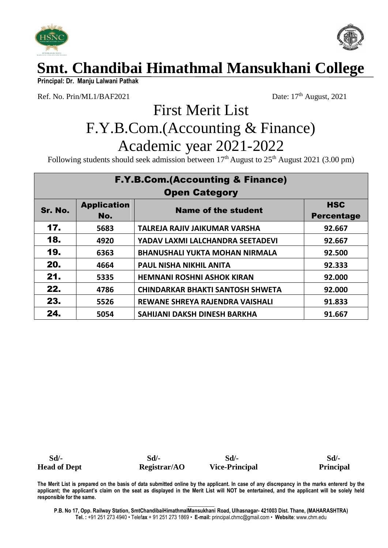



**Principal: Dr. Manju Lalwani Pathak** 

Ref. No. Prin/ML1/BAF2021 Date:  $17<sup>th</sup>$  August, 2021

# First Merit List F.Y.B.Com.(Accounting & Finance) Academic year 2021-2022

Following students should seek admission between 17<sup>th</sup> August to 25<sup>th</sup> August 2021 (3.00 pm)

| <b>F.Y.B.Com.(Accounting &amp; Finance)</b> |                    |                                         |                   |
|---------------------------------------------|--------------------|-----------------------------------------|-------------------|
| <b>Open Category</b>                        |                    |                                         |                   |
| Sr. No.                                     | <b>Application</b> | <b>Name of the student</b>              | <b>HSC</b>        |
|                                             | No.                |                                         | <b>Percentage</b> |
| 17.                                         | 5683               | TALREJA RAJIV JAIKUMAR VARSHA           | 92.667            |
| 18.                                         | 4920               | YADAV LAXMI LALCHANDRA SEETADEVI        | 92.667            |
| 19.                                         | 6363               | <b>BHANUSHALI YUKTA MOHAN NIRMALA</b>   | 92.500            |
| 20.                                         | 4664               | <b>PAUL NISHA NIKHIL ANITA</b>          | 92.333            |
| 21.                                         | 5335               | <b>HEMNANI ROSHNI ASHOK KIRAN</b>       | 92.000            |
| 22.                                         | 4786               | <b>CHINDARKAR BHAKTI SANTOSH SHWETA</b> | 92.000            |
| 23.                                         | 5526               | REWANE SHREYA RAJENDRA VAISHALI         | 91.833            |
| 24.                                         | 5054               | SAHIJANI DAKSH DINESH BARKHA            | 91.667            |

 **Sd/- Sd/- Sd/- Sd/- Head of Dept Registrar/AO Vice-Principal Principal**

**The Merit List is prepared on the basis of data submitted online by the applicant. In case of any discrepancy in the marks entererd by the applicant; the applicant's claim on the seat as displayed in the Merit List will NOT be entertained, and the applicant will be solely held responsible for the same.**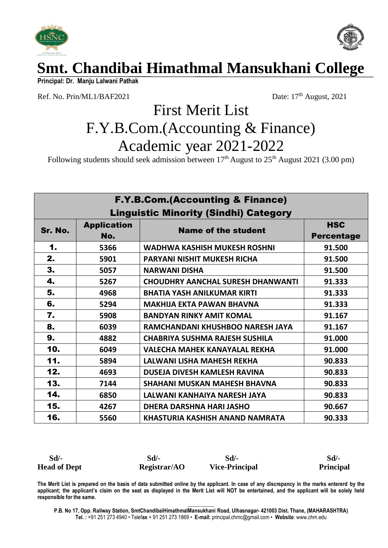



**Principal: Dr. Manju Lalwani Pathak** 

Ref. No. Prin/ML1/BAF2021 Date:  $17<sup>th</sup>$  August, 2021

# First Merit List F.Y.B.Com.(Accounting & Finance) Academic year 2021-2022

Following students should seek admission between  $17<sup>th</sup>$  August to  $25<sup>th</sup>$  August  $2021$  (3.00 pm)

| <b>F.Y.B.Com.(Accounting &amp; Finance)</b>  |                           |                                          |                                 |
|----------------------------------------------|---------------------------|------------------------------------------|---------------------------------|
| <b>Linguistic Minority (Sindhi) Category</b> |                           |                                          |                                 |
| Sr. No.                                      | <b>Application</b><br>No. | <b>Name of the student</b>               | <b>HSC</b><br><b>Percentage</b> |
| 1.                                           | 5366                      | WADHWA KASHISH MUKESH ROSHNI             | 91.500                          |
| 2.                                           | 5901                      | <b>PARYANI NISHIT MUKESH RICHA</b>       | 91.500                          |
| 3.                                           | 5057                      | <b>NARWANI DISHA</b>                     | 91.500                          |
| 4.                                           | 5267                      | <b>CHOUDHRY AANCHAL SURESH DHANWANTI</b> | 91.333                          |
| 5.                                           | 4968                      | <b>BHATIA YASH ANILKUMAR KIRTI</b>       | 91.333                          |
| 6.                                           | 5294                      | <b>MAKHIJA EKTA PAWAN BHAVNA</b>         | 91.333                          |
| 7.                                           | 5908                      | <b>BANDYAN RINKY AMIT KOMAL</b>          | 91.167                          |
| 8.                                           | 6039                      | RAMCHANDANI KHUSHBOO NARESH JAYA         | 91.167                          |
| 9.                                           | 4882                      | <b>CHABRIYA SUSHMA RAJESH SUSHILA</b>    | 91.000                          |
| 10.                                          | 6049                      | <b>VALECHA MAHEK KANAYALAL REKHA</b>     | 91.000                          |
| 11.                                          | 5894                      | LALWANI LISHA MAHESH REKHA               | 90.833                          |
| 12.                                          | 4693                      | <b>DUSEJA DIVESH KAMLESH RAVINA</b>      | 90.833                          |
| 13.                                          | 7144                      | <b>SHAHANI MUSKAN MAHESH BHAVNA</b>      | 90.833                          |
| 14.                                          | 6850                      | LALWANI KANHAIYA NARESH JAYA             | 90.833                          |
| 15.                                          | 4267                      | DHERA DARSHNA HARI JASHO                 | 90.667                          |
| 16.                                          | 5560                      | KHASTURIA KASHISH ANAND NAMRATA          | 90.333                          |

| $Sd$ /-             | Sd/-         | Sd/-                  | Sd               |
|---------------------|--------------|-----------------------|------------------|
| <b>Head of Dept</b> | Registrar/AO | <b>Vice-Principal</b> | <b>Principal</b> |

**The Merit List is prepared on the basis of data submitted online by the applicant. In case of any discrepancy in the marks entererd by the applicant; the applicant's claim on the seat as displayed in the Merit List will NOT be entertained, and the applicant will be solely held responsible for the same.**

**\_\_\_\_\_\_\_\_\_\_ P.B. No 17, Opp. Railway Station, SmtChandibaiHimathmalMansukhani Road, Ulhasnagar- 421003 Dist. Thane, (MAHARASHTRA) Tel. :** +91 251 273 4940 • Telef**ax** + 91 251 273 1869 • **E-mail:** principal.chmc@gmail.com • **Website**[: www.chm.edu](http://www.chm.edu/)